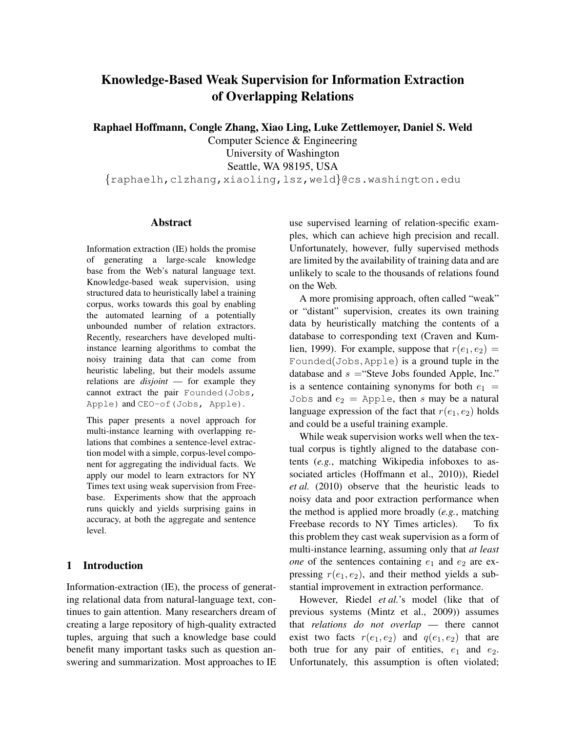# Knowledge-Based Weak Supervision for Information Extraction of Overlapping Relations

Raphael Hoffmann, Congle Zhang, Xiao Ling, Luke Zettlemoyer, Daniel S. Weld

Computer Science & Engineering University of Washington Seattle, WA 98195, USA

{raphaelh,clzhang,xiaoling,lsz,weld}@cs.washington.edu

# Abstract

Information extraction (IE) holds the promise of generating a large-scale knowledge base from the Web's natural language text. Knowledge-based weak supervision, using structured data to heuristically label a training corpus, works towards this goal by enabling the automated learning of a potentially unbounded number of relation extractors. Recently, researchers have developed multiinstance learning algorithms to combat the noisy training data that can come from heuristic labeling, but their models assume relations are *disjoint* — for example they cannot extract the pair Founded(Jobs, Apple) and CEO-of(Jobs, Apple).

This paper presents a novel approach for multi-instance learning with overlapping relations that combines a sentence-level extraction model with a simple, corpus-level component for aggregating the individual facts. We apply our model to learn extractors for NY Times text using weak supervision from Freebase. Experiments show that the approach runs quickly and yields surprising gains in accuracy, at both the aggregate and sentence level.

# 1 Introduction

Information-extraction (IE), the process of generating relational data from natural-language text, continues to gain attention. Many researchers dream of creating a large repository of high-quality extracted tuples, arguing that such a knowledge base could benefit many important tasks such as question answering and summarization. Most approaches to IE use supervised learning of relation-specific examples, which can achieve high precision and recall. Unfortunately, however, fully supervised methods are limited by the availability of training data and are unlikely to scale to the thousands of relations found on the Web.

A more promising approach, often called "weak" or "distant" supervision, creates its own training data by heuristically matching the contents of a database to corresponding text (Craven and Kumlien, 1999). For example, suppose that  $r(e_1, e_2)$  = Founded(Jobs, Apple) is a ground tuple in the database and  $s =$ "Steve Jobs founded Apple, Inc." is a sentence containing synonyms for both  $e_1$  = Jobs and  $e_2$  = Apple, then s may be a natural language expression of the fact that  $r(e_1, e_2)$  holds and could be a useful training example.

While weak supervision works well when the textual corpus is tightly aligned to the database contents (*e.g.*, matching Wikipedia infoboxes to associated articles (Hoffmann et al., 2010)), Riedel *et al.* (2010) observe that the heuristic leads to noisy data and poor extraction performance when the method is applied more broadly (*e.g.*, matching Freebase records to NY Times articles). To fix this problem they cast weak supervision as a form of multi-instance learning, assuming only that *at least one* of the sentences containing  $e_1$  and  $e_2$  are expressing  $r(e_1, e_2)$ , and their method yields a substantial improvement in extraction performance.

However, Riedel *et al.*'s model (like that of previous systems (Mintz et al., 2009)) assumes that *relations do not overlap* — there cannot exist two facts  $r(e_1, e_2)$  and  $q(e_1, e_2)$  that are both true for any pair of entities,  $e_1$  and  $e_2$ . Unfortunately, this assumption is often violated;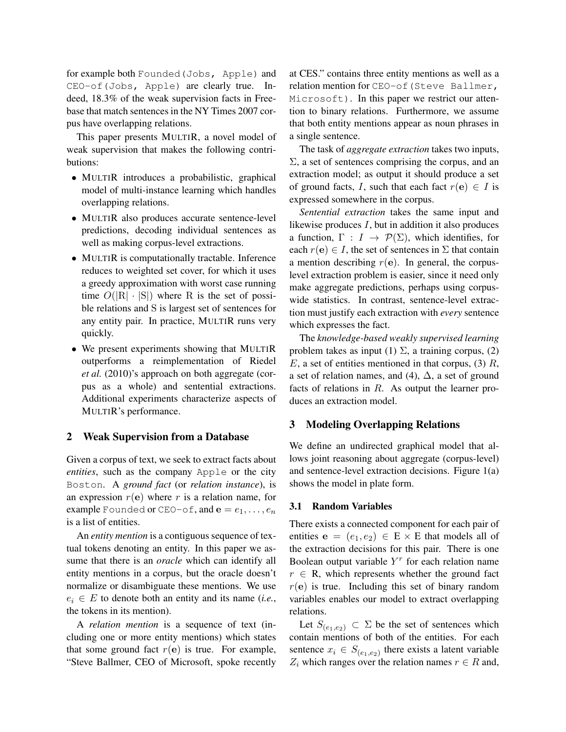for example both Founded(Jobs, Apple) and CEO-of(Jobs, Apple) are clearly true. Indeed, 18.3% of the weak supervision facts in Freebase that match sentences in the NY Times 2007 corpus have overlapping relations.

This paper presents MULTIR, a novel model of weak supervision that makes the following contributions:

- MULTIR introduces a probabilistic, graphical model of multi-instance learning which handles overlapping relations.
- MULTIR also produces accurate sentence-level predictions, decoding individual sentences as well as making corpus-level extractions.
- MULTIR is computationally tractable. Inference reduces to weighted set cover, for which it uses a greedy approximation with worst case running time  $O(|R| \cdot |S|)$  where R is the set of possible relations and S is largest set of sentences for any entity pair. In practice, MULTIR runs very quickly.
- We present experiments showing that MULTIR outperforms a reimplementation of Riedel *et al.* (2010)'s approach on both aggregate (corpus as a whole) and sentential extractions. Additional experiments characterize aspects of MULTIR's performance.

#### 2 Weak Supervision from a Database

Given a corpus of text, we seek to extract facts about *entities*, such as the company Apple or the city Boston. A *ground fact* (or *relation instance*), is an expression  $r(e)$  where r is a relation name, for example Founded or CEO-of, and  $e = e_1, \ldots, e_n$ is a list of entities.

An *entity mention* is a contiguous sequence of textual tokens denoting an entity. In this paper we assume that there is an *oracle* which can identify all entity mentions in a corpus, but the oracle doesn't normalize or disambiguate these mentions. We use  $e_i \in E$  to denote both an entity and its name (*i.e.*, the tokens in its mention).

A *relation mention* is a sequence of text (including one or more entity mentions) which states that some ground fact  $r(e)$  is true. For example, "Steve Ballmer, CEO of Microsoft, spoke recently at CES." contains three entity mentions as well as a relation mention for CEO-of(Steve Ballmer, Microsoft). In this paper we restrict our attention to binary relations. Furthermore, we assume that both entity mentions appear as noun phrases in a single sentence.

The task of *aggregate extraction* takes two inputs,  $\Sigma$ , a set of sentences comprising the corpus, and an extraction model; as output it should produce a set of ground facts, I, such that each fact  $r(e) \in I$  is expressed somewhere in the corpus.

*Sentential extraction* takes the same input and likewise produces  $I$ , but in addition it also produces a function,  $\Gamma : I \to \mathcal{P}(\Sigma)$ , which identifies, for each  $r(e) \in I$ , the set of sentences in  $\Sigma$  that contain a mention describing  $r(e)$ . In general, the corpuslevel extraction problem is easier, since it need only make aggregate predictions, perhaps using corpuswide statistics. In contrast, sentence-level extraction must justify each extraction with *every* sentence which expresses the fact.

The *knowledge-based weakly supervised learning* problem takes as input (1)  $\Sigma$ , a training corpus, (2)  $E$ , a set of entities mentioned in that corpus, (3)  $R$ , a set of relation names, and (4),  $\Delta$ , a set of ground facts of relations in R. As output the learner produces an extraction model.

#### 3 Modeling Overlapping Relations

We define an undirected graphical model that allows joint reasoning about aggregate (corpus-level) and sentence-level extraction decisions. Figure 1(a) shows the model in plate form.

#### 3.1 Random Variables

There exists a connected component for each pair of entities  $e = (e_1, e_2) \in E \times E$  that models all of the extraction decisions for this pair. There is one Boolean output variable  $Y<sup>r</sup>$  for each relation name  $r \in R$ , which represents whether the ground fact  $r(e)$  is true. Including this set of binary random variables enables our model to extract overlapping relations.

Let  $S_{(e_1,e_2)} \subset \Sigma$  be the set of sentences which contain mentions of both of the entities. For each sentence  $x_i \in S_{(e_1,e_2)}$  there exists a latent variable  $Z_i$  which ranges over the relation names  $r \in R$  and,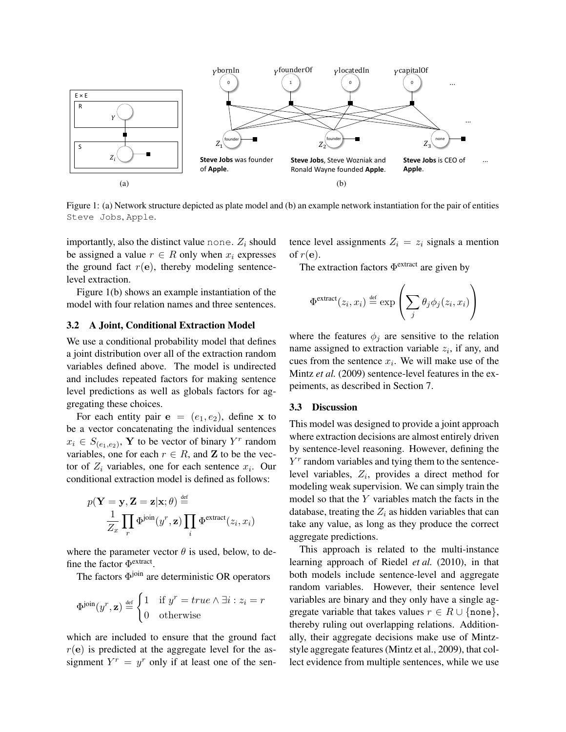

Figure 1: (a) Network structure depicted as plate model and (b) an example network instantiation for the pair of entities Steve Jobs, Apple.

importantly, also the distinct value none.  $Z_i$  should be assigned a value  $r \in R$  only when  $x_i$  expresses the ground fact  $r(e)$ , thereby modeling sentencelevel extraction.

Figure 1(b) shows an example instantiation of the model with four relation names and three sentences.

# 3.2 A Joint, Conditional Extraction Model

We use a conditional probability model that defines a joint distribution over all of the extraction random variables defined above. The model is undirected and includes repeated factors for making sentence level predictions as well as globals factors for aggregating these choices.

For each entity pair  $e = (e_1, e_2)$ , define x to be a vector concatenating the individual sentences  $x_i \in S_{(e_1,e_2)}$ , **Y** to be vector of binary  $Y^r$  random variables, one for each  $r \in R$ , and **Z** to be the vector of  $Z_i$  variables, one for each sentence  $x_i$ . Our conditional extraction model is defined as follows:

$$
p(\mathbf{Y} = \mathbf{y}, \mathbf{Z} = \mathbf{z} | \mathbf{x}; \theta) \stackrel{\text{def}}{=} \frac{1}{Z_x} \prod_r \Phi^{\text{join}}(y^r, \mathbf{z}) \prod_i \Phi^{\text{extract}}(z_i, x_i)
$$

where the parameter vector  $\theta$  is used, below, to define the factor  $\Phi^{\text{extract}}$ .

The factors  $\Phi$ <sup>join</sup> are deterministic OR operators

$$
\Phi^{\text{join}}(y^r, \mathbf{z}) \stackrel{\text{def}}{=} \begin{cases} 1 & \text{if } y^r = true \land \exists i : z_i = r \\ 0 & \text{otherwise} \end{cases}
$$

which are included to ensure that the ground fact  $r(e)$  is predicted at the aggregate level for the assignment  $Y^r = y^r$  only if at least one of the sentence level assignments  $Z_i = z_i$  signals a mention of  $r(e)$ .

The extraction factors  $\Phi^{\text{extract}}$  are given by

$$
\Phi^{\text{extract}}(z_i, x_i) \stackrel{\text{def}}{=} \exp\left(\sum_j \theta_j \phi_j(z_i, x_i)\right)
$$

where the features  $\phi_j$  are sensitive to the relation name assigned to extraction variable  $z_i$ , if any, and cues from the sentence  $x_i$ . We will make use of the Mintz *et al.* (2009) sentence-level features in the expeiments, as described in Section 7.

#### 3.3 Discussion

This model was designed to provide a joint approach where extraction decisions are almost entirely driven by sentence-level reasoning. However, defining the  $Y<sup>r</sup>$  random variables and tying them to the sentencelevel variables,  $Z_i$ , provides a direct method for modeling weak supervision. We can simply train the model so that the Y variables match the facts in the database, treating the  $Z_i$  as hidden variables that can take any value, as long as they produce the correct aggregate predictions.

This approach is related to the multi-instance learning approach of Riedel *et al.* (2010), in that both models include sentence-level and aggregate random variables. However, their sentence level variables are binary and they only have a single aggregate variable that takes values  $r \in R \cup \{none\}$ , thereby ruling out overlapping relations. Additionally, their aggregate decisions make use of Mintzstyle aggregate features (Mintz et al., 2009), that collect evidence from multiple sentences, while we use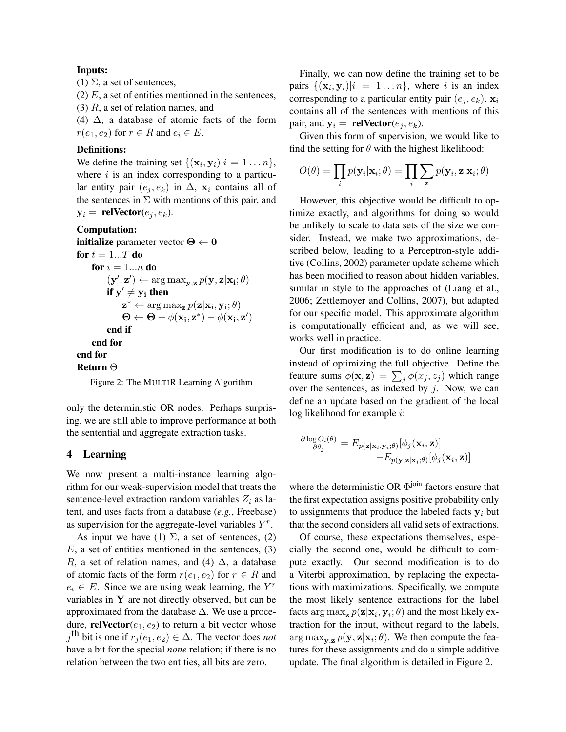# Inputs:

(1)  $\Sigma$ , a set of sentences,

(2)  $E$ , a set of entities mentioned in the sentences,

(3) R, a set of relation names, and

(4)  $\Delta$ , a database of atomic facts of the form  $r(e_1, e_2)$  for  $r \in R$  and  $e_i \in E$ .

# Definitions:

We define the training set  $\{(\mathbf{x}_i, \mathbf{y}_i)|i = 1...n\}$ , where  $i$  is an index corresponding to a particular entity pair  $(e_i, e_k)$  in  $\Delta$ ,  $\mathbf{x}_i$  contains all of the sentences in  $\Sigma$  with mentions of this pair, and  $y_i =$  relVector $(e_i, e_k)$ .

## Computation:

```
initialize parameter vector \Theta \leftarrow 0for t = 1...T do
       for i = 1...n do
                (\mathbf{y}', \mathbf{z}') \leftarrow \arg \max_{\mathbf{y}, \mathbf{z}} p(\mathbf{y}, \mathbf{z} | \mathbf{x_i}; \theta)if y' \neq y_i then
                        \mathbf{z}^* \leftarrow \arg \max_{\mathbf{z}} p(\mathbf{z}|\mathbf{x_i}, \mathbf{y_i}; \theta)\Theta \leftarrow \Theta + \phi(\mathbf{x_i}, \mathbf{z}^*) - \phi(\mathbf{x_i}, \mathbf{z}')end if
       end for
end for
```
Return Θ

Figure 2: The MULTIR Learning Algorithm

only the deterministic OR nodes. Perhaps surprising, we are still able to improve performance at both the sentential and aggregate extraction tasks.

## 4 Learning

We now present a multi-instance learning algorithm for our weak-supervision model that treats the sentence-level extraction random variables  $Z_i$  as latent, and uses facts from a database (*e.g.*, Freebase) as supervision for the aggregate-level variables  $Y^r$ .

As input we have (1)  $\Sigma$ , a set of sentences, (2)  $E$ , a set of entities mentioned in the sentences, (3) R, a set of relation names, and (4)  $\Delta$ , a database of atomic facts of the form  $r(e_1, e_2)$  for  $r \in R$  and  $e_i \in E$ . Since we are using weak learning, the  $Y^r$ variables in  $Y$  are not directly observed, but can be approximated from the database  $\Delta$ . We use a procedure, **relVector**( $e_1, e_2$ ) to return a bit vector whose  $j^{\text{th}}$  bit is one if  $r_j(e_1, e_2) \in \Delta$ . The vector does *not* have a bit for the special *none* relation; if there is no relation between the two entities, all bits are zero.

Finally, we can now define the training set to be pairs  $\{(\mathbf{x}_i, \mathbf{y}_i)|i = 1...n\}$ , where i is an index corresponding to a particular entity pair  $(e_i, e_k)$ ,  $\mathbf{x}_i$ contains all of the sentences with mentions of this pair, and  $y_i =$  **relVector** $(e_i, e_k)$ .

Given this form of supervision, we would like to find the setting for  $\theta$  with the highest likelihood:

$$
O(\theta) = \prod_i p(\mathbf{y}_i|\mathbf{x}_i;\theta) = \prod_i \sum_{\mathbf{z}} p(\mathbf{y}_i, \mathbf{z}|\mathbf{x}_i;\theta)
$$

However, this objective would be difficult to optimize exactly, and algorithms for doing so would be unlikely to scale to data sets of the size we consider. Instead, we make two approximations, described below, leading to a Perceptron-style additive (Collins, 2002) parameter update scheme which has been modified to reason about hidden variables, similar in style to the approaches of (Liang et al., 2006; Zettlemoyer and Collins, 2007), but adapted for our specific model. This approximate algorithm is computationally efficient and, as we will see, works well in practice.

Our first modification is to do online learning instead of optimizing the full objective. Define the feature sums  $\phi(\mathbf{x}, \mathbf{z}) = \sum_j \phi(x_j, z_j)$  which range over the sentences, as indexed by  $j$ . Now, we can define an update based on the gradient of the local log likelihood for example i:

$$
\frac{\partial \log O_i(\theta)}{\partial \theta_j} = E_{p(\mathbf{z}|\mathbf{x}_i,\mathbf{y}_i;\theta)}[\phi_j(\mathbf{x}_i,\mathbf{z})] \\ - E_{p(\mathbf{y},\mathbf{z}|\mathbf{x}_i;\theta)}[\phi_j(\mathbf{x}_i,\mathbf{z})]
$$

where the deterministic OR  $\Phi$ <sup>join</sup> factors ensure that the first expectation assigns positive probability only to assignments that produce the labeled facts  $y_i$  but that the second considers all valid sets of extractions.

Of course, these expectations themselves, especially the second one, would be difficult to compute exactly. Our second modification is to do a Viterbi approximation, by replacing the expectations with maximizations. Specifically, we compute the most likely sentence extractions for the label facts  $\argmax_{\mathbf{z}} p(\mathbf{z}|\mathbf{x}_i, \mathbf{y}_i; \theta)$  and the most likely extraction for the input, without regard to the labels,  $\arg \max_{\mathbf{y},\mathbf{z}} p(\mathbf{y},\mathbf{z}|\mathbf{x}_i;\theta)$ . We then compute the features for these assignments and do a simple additive update. The final algorithm is detailed in Figure 2.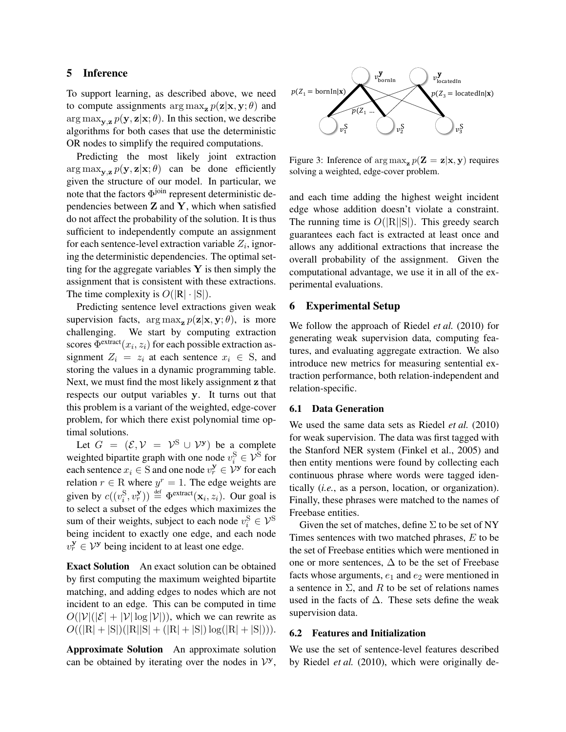# 5 Inference

To support learning, as described above, we need to compute assignments  $\arg \max_{\mathbf{z}} p(\mathbf{z}|\mathbf{x}, \mathbf{y}; \theta)$  and  $\arg \max_{\mathbf{y}, \mathbf{z}} p(\mathbf{y}, \mathbf{z} | \mathbf{x}; \theta)$ . In this section, we describe algorithms for both cases that use the deterministic OR nodes to simplify the required computations.

Predicting the most likely joint extraction  $\arg \max_{\mathbf{v} \in \mathbf{z}} p(\mathbf{y}, \mathbf{z} | \mathbf{x}; \theta)$  can be done efficiently given the structure of our model. In particular, we note that the factors  $Φ<sup>join</sup>$  represent deterministic dependencies between  $Z$  and  $Y$ , which when satisfied do not affect the probability of the solution. It is thus sufficient to independently compute an assignment for each sentence-level extraction variable  $Z_i$ , ignoring the deterministic dependencies. The optimal setting for the aggregate variables  $Y$  is then simply the assignment that is consistent with these extractions. The time complexity is  $O(|R| \cdot |S|)$ .

Predicting sentence level extractions given weak supervision facts,  $\arg \max_{\mathbf{z}} p(\mathbf{z}|\mathbf{x}, \mathbf{y}; \theta)$ , is more challenging. We start by computing extraction scores  $\Phi^{\text{extract}}(x_i, z_i)$  for each possible extraction assignment  $Z_i = z_i$  at each sentence  $x_i \in S$ , and storing the values in a dynamic programming table. Next, we must find the most likely assignment z that respects our output variables y. It turns out that this problem is a variant of the weighted, edge-cover problem, for which there exist polynomial time optimal solutions.

Let  $G = (\mathcal{E}, \mathcal{V} = \mathcal{V}^{S} \cup \mathcal{V}^{S})$  be a complete weighted bipartite graph with one node  $v_i^{\rm S} \in \mathcal{V}^{\rm S}$  for each sentence  $x_i \in S$  and one node  $v_r^y \in V^y$  for each relation  $r \in \mathbb{R}$  where  $y^r = 1$ . The edge weights are given by  $c((v_i^S, v_r^{\mathbf{y}})) \stackrel{\text{def}}{=} \Phi^{\text{extract}}(\mathbf{x}_i, z_i)$ . Our goal is to select a subset of the edges which maximizes the sum of their weights, subject to each node  $v_i^{\rm S} \in \mathcal{V}^{\rm S}$ being incident to exactly one edge, and each node  $v_r^{\mathbf{y}} \in \mathcal{V}^{\mathbf{y}}$  being incident to at least one edge.

Exact Solution An exact solution can be obtained by first computing the maximum weighted bipartite matching, and adding edges to nodes which are not incident to an edge. This can be computed in time  $O(|\mathcal{V}|(|\mathcal{E}| + |\mathcal{V}| \log |\mathcal{V}|))$ , which we can rewrite as  $O((|R| + |S|)(|R||S| + (|R| + |S|)\log(|R| + |S|))).$ 

Approximate Solution An approximate solution can be obtained by iterating over the nodes in  $V^y$ ,



Figure 3: Inference of  $\arg \max_{\mathbf{z}} p(\mathbf{Z} = \mathbf{z} | \mathbf{x}, \mathbf{y})$  requires solving a weighted, edge-cover problem.

and each time adding the highest weight incident edge whose addition doesn't violate a constraint. The running time is  $O(|R||S|)$ . This greedy search guarantees each fact is extracted at least once and allows any additional extractions that increase the overall probability of the assignment. Given the computational advantage, we use it in all of the experimental evaluations.

#### 6 Experimental Setup

We follow the approach of Riedel *et al.* (2010) for generating weak supervision data, computing features, and evaluating aggregate extraction. We also introduce new metrics for measuring sentential extraction performance, both relation-independent and relation-specific.

#### 6.1 Data Generation

We used the same data sets as Riedel *et al.* (2010) for weak supervision. The data was first tagged with the Stanford NER system (Finkel et al., 2005) and then entity mentions were found by collecting each continuous phrase where words were tagged identically (*i.e.*, as a person, location, or organization). Finally, these phrases were matched to the names of Freebase entities.

Given the set of matches, define  $\Sigma$  to be set of NY Times sentences with two matched phrases, E to be the set of Freebase entities which were mentioned in one or more sentences,  $\Delta$  to be the set of Freebase facts whose arguments,  $e_1$  and  $e_2$  were mentioned in a sentence in  $\Sigma$ , and R to be set of relations names used in the facts of  $\Delta$ . These sets define the weak supervision data.

#### 6.2 Features and Initialization

We use the set of sentence-level features described by Riedel *et al.* (2010), which were originally de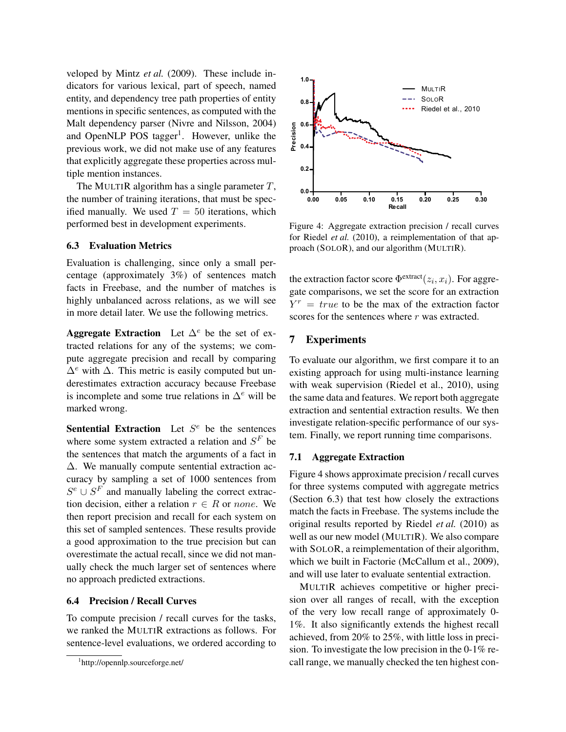veloped by Mintz *et al.* (2009). These include indicators for various lexical, part of speech, named entity, and dependency tree path properties of entity mentions in specific sentences, as computed with the Malt dependency parser (Nivre and Nilsson, 2004) and OpenNLP POS tagger<sup>1</sup>. However, unlike the previous work, we did not make use of any features that explicitly aggregate these properties across multiple mention instances.

The MULTIR algorithm has a single parameter  $T$ , the number of training iterations, that must be specified manually. We used  $T = 50$  iterations, which performed best in development experiments.

## 6.3 Evaluation Metrics

Evaluation is challenging, since only a small percentage (approximately 3%) of sentences match facts in Freebase, and the number of matches is highly unbalanced across relations, as we will see in more detail later. We use the following metrics.

Aggregate Extraction Let  $\Delta^e$  be the set of extracted relations for any of the systems; we compute aggregate precision and recall by comparing  $\Delta^e$  with  $\Delta$ . This metric is easily computed but underestimates extraction accuracy because Freebase is incomplete and some true relations in  $\Delta^e$  will be marked wrong.

Sentential Extraction Let  $S^e$  be the sentences where some system extracted a relation and  $S<sup>F</sup>$  be the sentences that match the arguments of a fact in ∆. We manually compute sentential extraction accuracy by sampling a set of 1000 sentences from  $S^e \cup S^F$  and manually labeling the correct extraction decision, either a relation  $r \in R$  or none. We then report precision and recall for each system on this set of sampled sentences. These results provide a good approximation to the true precision but can overestimate the actual recall, since we did not manually check the much larger set of sentences where no approach predicted extractions.

#### 6.4 Precision / Recall Curves

To compute precision / recall curves for the tasks, we ranked the MULTIR extractions as follows. For sentence-level evaluations, we ordered according to



Figure 4: Aggregate extraction precision / recall curves for Riedel *et al.* (2010), a reimplementation of that approach (SOLOR), and our algorithm (MULTIR).

the extraction factor score  $\Phi^{\text{extract}}(z_i, x_i)$ . For aggregate comparisons, we set the score for an extraction  $Y^r = true$  to be the max of the extraction factor scores for the sentences where r was extracted.

# 7 Experiments

To evaluate our algorithm, we first compare it to an existing approach for using multi-instance learning with weak supervision (Riedel et al., 2010), using the same data and features. We report both aggregate extraction and sentential extraction results. We then investigate relation-specific performance of our system. Finally, we report running time comparisons.

## 7.1 Aggregate Extraction

Figure 4 shows approximate precision / recall curves for three systems computed with aggregate metrics (Section 6.3) that test how closely the extractions match the facts in Freebase. The systems include the original results reported by Riedel *et al.* (2010) as well as our new model (MULTIR). We also compare with SOLOR, a reimplementation of their algorithm, which we built in Factorie (McCallum et al., 2009), and will use later to evaluate sentential extraction.

MULTIR achieves competitive or higher precision over all ranges of recall, with the exception of the very low recall range of approximately 0- 1%. It also significantly extends the highest recall achieved, from 20% to 25%, with little loss in precision. To investigate the low precision in the 0-1% recall range, we manually checked the ten highest con-

<sup>1</sup> http://opennlp.sourceforge.net/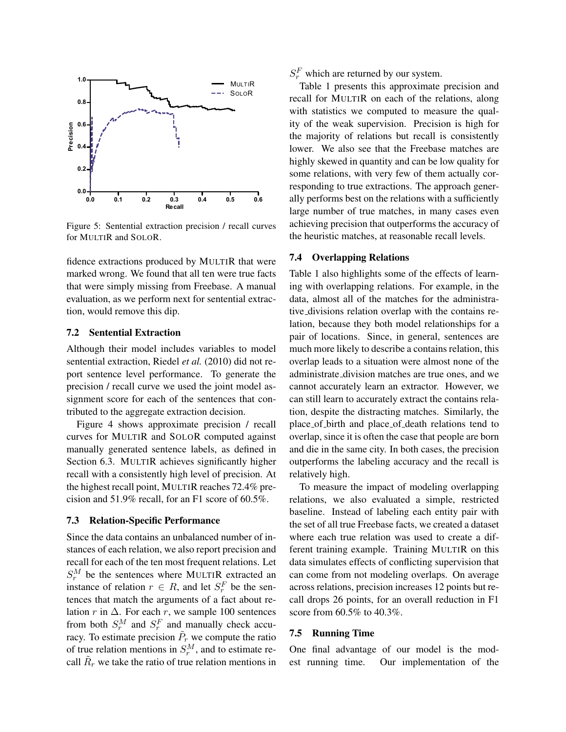

Figure 5: Sentential extraction precision / recall curves for MULTIR and SOLOR.

fidence extractions produced by MULTIR that were marked wrong. We found that all ten were true facts that were simply missing from Freebase. A manual evaluation, as we perform next for sentential extraction, would remove this dip.

#### 7.2 Sentential Extraction

Although their model includes variables to model sentential extraction, Riedel et al. (2010) did not report sentence level performance. To generate the precision / recall curve we used the joint model assignment score for each of the sentences that contributed to the aggregate extraction decision.

Figure 4 shows approximate precision / recall curves for MULTIR and SOLOR computed against manually generated sentence labels, as defined in Section 6.3. MULTIR achieves significantly higher recall with a consistently high level of precision. At the highest recall point, MULTIR reaches 72.4% precision and 51.9% recall, for an F1 score of 60.5%.

#### 7.3 Relation-Specific Performance

Since the data contains an unbalanced number of instances of each relation, we also report precision and recall for each of the ten most frequent relations. Let  $S_r^M$  be the sentences where MULTIR extracted an instance of relation  $r \in R$ , and let  $S_r^F$  be the sentences that match the arguments of a fact about relation r in  $\Delta$ . For each r, we sample 100 sentences from both  $S_r^M$  and  $S_r^F$  and manually check accuracy. To estimate precision  $\tilde{P}_r$  we compute the ratio of true relation mentions in  $S_r^M$ , and to estimate recall  $\tilde{R}_r$  we take the ratio of true relation mentions in

 $S_r^F$  which are returned by our system.

Table 1 presents this approximate precision and recall for MULTIR on each of the relations, along with statistics we computed to measure the quality of the weak supervision. Precision is high for the majority of relations but recall is consistently lower. We also see that the Freebase matches are highly skewed in quantity and can be low quality for some relations, with very few of them actually corresponding to true extractions. The approach generally performs best on the relations with a sufficiently large number of true matches, in many cases even achieving precision that outperforms the accuracy of the heuristic matches, at reasonable recall levels.

#### 7.4 Overlapping Relations

Table 1 also highlights some of the effects of learning with overlapping relations. For example, in the data, almost all of the matches for the administrative divisions relation overlap with the contains relation, because they both model relationships for a pair of locations. Since, in general, sentences are much more likely to describe a contains relation, this overlap leads to a situation were almost none of the administrate division matches are true ones, and we cannot accurately learn an extractor. However, we can still learn to accurately extract the contains relation, despite the distracting matches. Similarly, the place of birth and place of death relations tend to overlap, since it is often the case that people are born and die in the same city. In both cases, the precision outperforms the labeling accuracy and the recall is relatively high.

To measure the impact of modeling overlapping relations, we also evaluated a simple, restricted baseline. Instead of labeling each entity pair with the set of all true Freebase facts, we created a dataset where each true relation was used to create a different training example. Training MULTIR on this data simulates effects of conflicting supervision that can come from not modeling overlaps. On average across relations, precision increases 12 points but recall drops 26 points, for an overall reduction in F1 score from 60.5% to 40.3%.

#### 7.5 Running Time

One final advantage of our model is the modest running time. Our implementation of the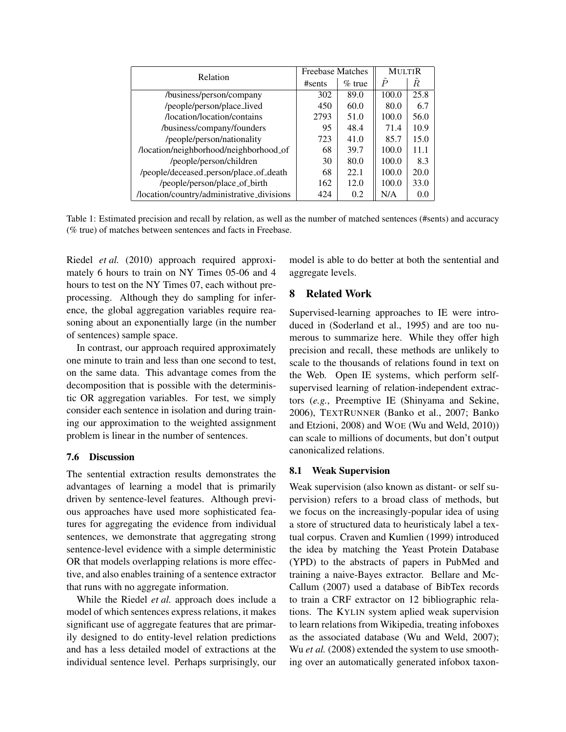| Relation                                   | <b>Freebase Matches</b> |           | <b>MULTIR</b>  |      |
|--------------------------------------------|-------------------------|-----------|----------------|------|
|                                            | #sents                  | $\%$ true | $\overline{P}$ | R    |
| /business/person/company                   | 302                     | 89.0      | 100.0          | 25.8 |
| /people/person/place_lived                 | 450                     | 60.0      | 80.0           | 6.7  |
| /location/location/contains                | 2793                    | 51.0      | 100.0          | 56.0 |
| /business/company/founders                 | 95                      | 48.4      | 71.4           | 10.9 |
| /people/person/nationality                 | 723                     | 41.0      | 85.7           | 15.0 |
| /location/neighborhood/neighborhood_of     | 68                      | 39.7      | 100.0          | 11.1 |
| /people/person/children                    | 30                      | 80.0      | 100.0          | 8.3  |
| /people/deceased_person/place_of_death     | 68                      | 22.1      | 100.0          | 20.0 |
| /people/person/place_of_birth              | 162                     | 12.0      | 100.0          | 33.0 |
| /location/country/administrative_divisions | 424                     | 0.2       | N/A            | 0.0  |

Table 1: Estimated precision and recall by relation, as well as the number of matched sentences (#sents) and accuracy (% true) of matches between sentences and facts in Freebase.

Riedel *et al.* (2010) approach required approximately 6 hours to train on NY Times 05-06 and 4 hours to test on the NY Times 07, each without preprocessing. Although they do sampling for inference, the global aggregation variables require reasoning about an exponentially large (in the number of sentences) sample space.

In contrast, our approach required approximately one minute to train and less than one second to test, on the same data. This advantage comes from the decomposition that is possible with the deterministic OR aggregation variables. For test, we simply consider each sentence in isolation and during training our approximation to the weighted assignment problem is linear in the number of sentences.

# 7.6 Discussion

The sentential extraction results demonstrates the advantages of learning a model that is primarily driven by sentence-level features. Although previous approaches have used more sophisticated features for aggregating the evidence from individual sentences, we demonstrate that aggregating strong sentence-level evidence with a simple deterministic OR that models overlapping relations is more effective, and also enables training of a sentence extractor that runs with no aggregate information.

While the Riedel *et al.* approach does include a model of which sentences express relations, it makes significant use of aggregate features that are primarily designed to do entity-level relation predictions and has a less detailed model of extractions at the individual sentence level. Perhaps surprisingly, our model is able to do better at both the sentential and aggregate levels.

# 8 Related Work

Supervised-learning approaches to IE were introduced in (Soderland et al., 1995) and are too numerous to summarize here. While they offer high precision and recall, these methods are unlikely to scale to the thousands of relations found in text on the Web. Open IE systems, which perform selfsupervised learning of relation-independent extractors (*e.g.*, Preemptive IE (Shinyama and Sekine, 2006), TEXTRUNNER (Banko et al., 2007; Banko and Etzioni, 2008) and WOE (Wu and Weld, 2010)) can scale to millions of documents, but don't output canonicalized relations.

#### 8.1 Weak Supervision

Weak supervision (also known as distant- or self supervision) refers to a broad class of methods, but we focus on the increasingly-popular idea of using a store of structured data to heuristicaly label a textual corpus. Craven and Kumlien (1999) introduced the idea by matching the Yeast Protein Database (YPD) to the abstracts of papers in PubMed and training a naive-Bayes extractor. Bellare and Mc-Callum (2007) used a database of BibTex records to train a CRF extractor on 12 bibliographic relations. The KYLIN system aplied weak supervision to learn relations from Wikipedia, treating infoboxes as the associated database (Wu and Weld, 2007); Wu *et al.* (2008) extended the system to use smoothing over an automatically generated infobox taxon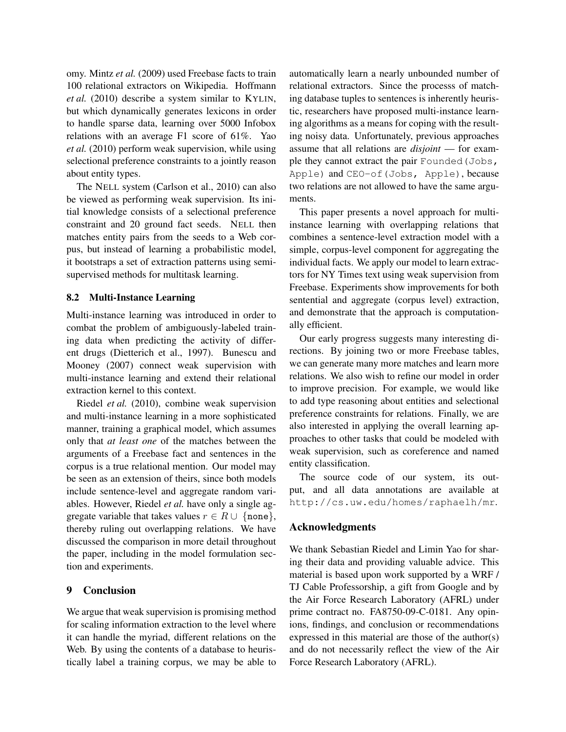omy. Mintz *et al.* (2009) used Freebase facts to train 100 relational extractors on Wikipedia. Hoffmann *et al.* (2010) describe a system similar to KYLIN, but which dynamically generates lexicons in order to handle sparse data, learning over 5000 Infobox relations with an average F1 score of 61%. Yao *et al.* (2010) perform weak supervision, while using selectional preference constraints to a jointly reason about entity types.

The NELL system (Carlson et al., 2010) can also be viewed as performing weak supervision. Its initial knowledge consists of a selectional preference constraint and 20 ground fact seeds. NELL then matches entity pairs from the seeds to a Web corpus, but instead of learning a probabilistic model, it bootstraps a set of extraction patterns using semisupervised methods for multitask learning.

#### 8.2 Multi-Instance Learning

Multi-instance learning was introduced in order to combat the problem of ambiguously-labeled training data when predicting the activity of different drugs (Dietterich et al., 1997). Bunescu and Mooney (2007) connect weak supervision with multi-instance learning and extend their relational extraction kernel to this context.

Riedel *et al.* (2010), combine weak supervision and multi-instance learning in a more sophisticated manner, training a graphical model, which assumes only that *at least one* of the matches between the arguments of a Freebase fact and sentences in the corpus is a true relational mention. Our model may be seen as an extension of theirs, since both models include sentence-level and aggregate random variables. However, Riedel *et al.* have only a single aggregate variable that takes values  $r \in R \cup \{none\}$ , thereby ruling out overlapping relations. We have discussed the comparison in more detail throughout the paper, including in the model formulation section and experiments.

# 9 Conclusion

We argue that weak supervision is promising method for scaling information extraction to the level where it can handle the myriad, different relations on the Web. By using the contents of a database to heuristically label a training corpus, we may be able to automatically learn a nearly unbounded number of relational extractors. Since the processs of matching database tuples to sentences is inherently heuristic, researchers have proposed multi-instance learning algorithms as a means for coping with the resulting noisy data. Unfortunately, previous approaches assume that all relations are *disjoint* — for example they cannot extract the pair Founded (Jobs, Apple) and CEO-of(Jobs, Apple), because two relations are not allowed to have the same arguments.

This paper presents a novel approach for multiinstance learning with overlapping relations that combines a sentence-level extraction model with a simple, corpus-level component for aggregating the individual facts. We apply our model to learn extractors for NY Times text using weak supervision from Freebase. Experiments show improvements for both sentential and aggregate (corpus level) extraction, and demonstrate that the approach is computationally efficient.

Our early progress suggests many interesting directions. By joining two or more Freebase tables, we can generate many more matches and learn more relations. We also wish to refine our model in order to improve precision. For example, we would like to add type reasoning about entities and selectional preference constraints for relations. Finally, we are also interested in applying the overall learning approaches to other tasks that could be modeled with weak supervision, such as coreference and named entity classification.

The source code of our system, its output, and all data annotations are available at http://cs.uw.edu/homes/raphaelh/mr.

#### Acknowledgments

We thank Sebastian Riedel and Limin Yao for sharing their data and providing valuable advice. This material is based upon work supported by a WRF / TJ Cable Professorship, a gift from Google and by the Air Force Research Laboratory (AFRL) under prime contract no. FA8750-09-C-0181. Any opinions, findings, and conclusion or recommendations expressed in this material are those of the author(s) and do not necessarily reflect the view of the Air Force Research Laboratory (AFRL).